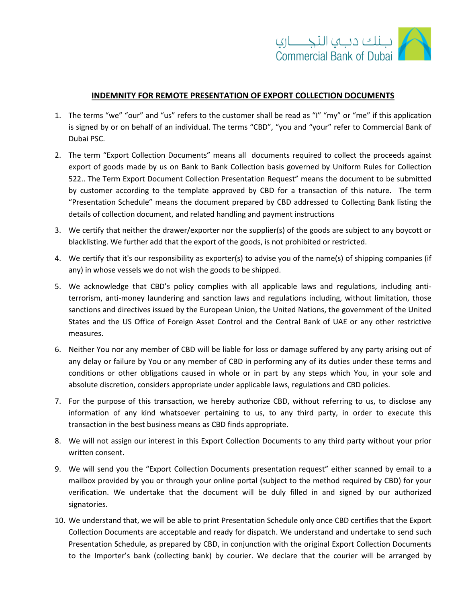

## **INDEMNITY FOR REMOTE PRESENTATION OF EXPORT COLLECTION DOCUMENTS**

- 1. The terms "we" "our" and "us" refers to the customer shall be read as "I" "my" or "me" if this application is signed by or on behalf of an individual. The terms "CBD", "you and "your" refer to Commercial Bank of Dubai PSC.
- 2. The term "Export Collection Documents" means all documents required to collect the proceeds against export of goods made by us on Bank to Bank Collection basis governed by Uniform Rules for Collection 522.. The Term Export Document Collection Presentation Request" means the document to be submitted by customer according to the template approved by CBD for a transaction of this nature. The term "Presentation Schedule" means the document prepared by CBD addressed to Collecting Bank listing the details of collection document, and related handling and payment instructions
- 3. We certify that neither the drawer/exporter nor the supplier(s) of the goods are subject to any boycott or blacklisting. We further add that the export of the goods, is not prohibited or restricted.
- 4. We certify that it's our responsibility as exporter(s) to advise you of the name(s) of shipping companies (if any) in whose vessels we do not wish the goods to be shipped.
- 5. We acknowledge that CBD's policy complies with all applicable laws and regulations, including antiterrorism, anti-money laundering and sanction laws and regulations including, without limitation, those sanctions and directives issued by the European Union, the United Nations, the government of the United States and the US Office of Foreign Asset Control and the Central Bank of UAE or any other restrictive measures.
- 6. Neither You nor any member of CBD will be liable for loss or damage suffered by any party arising out of any delay or failure by You or any member of CBD in performing any of its duties under these terms and conditions or other obligations caused in whole or in part by any steps which You, in your sole and absolute discretion, considers appropriate under applicable laws, regulations and CBD policies.
- 7. For the purpose of this transaction, we hereby authorize CBD, without referring to us, to disclose any information of any kind whatsoever pertaining to us, to any third party, in order to execute this transaction in the best business means as CBD finds appropriate.
- 8. We will not assign our interest in this Export Collection Documents to any third party without your prior written consent.
- 9. We will send you the "Export Collection Documents presentation request" either scanned by email to a mailbox provided by you or through your online portal (subject to the method required by CBD) for your verification. We undertake that the document will be duly filled in and signed by our authorized signatories.
- 10. We understand that, we will be able to print Presentation Schedule only once CBD certifies that the Export Collection Documents are acceptable and ready for dispatch. We understand and undertake to send such Presentation Schedule, as prepared by CBD, in conjunction with the original Export Collection Documents to the Importer's bank (collecting bank) by courier. We declare that the courier will be arranged by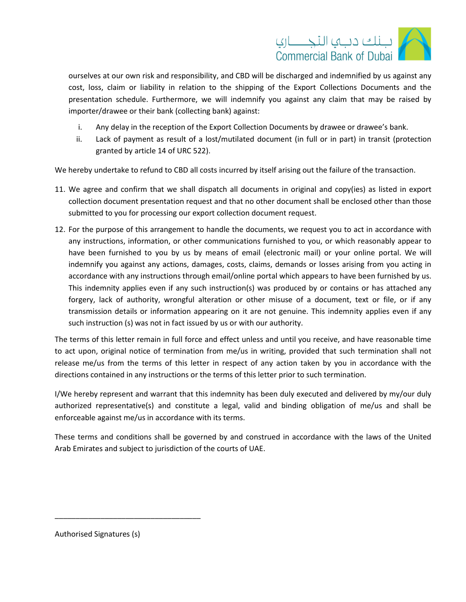

ourselves at our own risk and responsibility, and CBD will be discharged and indemnified by us against any cost, loss, claim or liability in relation to the shipping of the Export Collections Documents and the presentation schedule. Furthermore, we will indemnify you against any claim that may be raised by importer/drawee or their bank (collecting bank) against:

- i. Any delay in the reception of the Export Collection Documents by drawee or drawee's bank.
- ii. Lack of payment as result of a lost/mutilated document (in full or in part) in transit (protection granted by article 14 of URC 522).

We hereby undertake to refund to CBD all costs incurred by itself arising out the failure of the transaction.

- 11. We agree and confirm that we shall dispatch all documents in original and copy(ies) as listed in export collection document presentation request and that no other document shall be enclosed other than those submitted to you for processing our export collection document request.
- 12. For the purpose of this arrangement to handle the documents, we request you to act in accordance with any instructions, information, or other communications furnished to you, or which reasonably appear to have been furnished to you by us by means of email (electronic mail) or your online portal. We will indemnify you against any actions, damages, costs, claims, demands or losses arising from you acting in accordance with any instructions through email/online portal which appears to have been furnished by us. This indemnity applies even if any such instruction(s) was produced by or contains or has attached any forgery, lack of authority, wrongful alteration or other misuse of a document, text or file, or if any transmission details or information appearing on it are not genuine. This indemnity applies even if any such instruction (s) was not in fact issued by us or with our authority.

The terms of this letter remain in full force and effect unless and until you receive, and have reasonable time to act upon, original notice of termination from me/us in writing, provided that such termination shall not release me/us from the terms of this letter in respect of any action taken by you in accordance with the directions contained in any instructions or the terms of this letter prior to such termination.

I/We hereby represent and warrant that this indemnity has been duly executed and delivered by my/our duly authorized representative(s) and constitute a legal, valid and binding obligation of me/us and shall be enforceable against me/us in accordance with its terms.

These terms and conditions shall be governed by and construed in accordance with the laws of the United Arab Emirates and subject to jurisdiction of the courts of UAE.

Authorised Signatures (s)

\_\_\_\_\_\_\_\_\_\_\_\_\_\_\_\_\_\_\_\_\_\_\_\_\_\_\_\_\_\_\_\_\_\_\_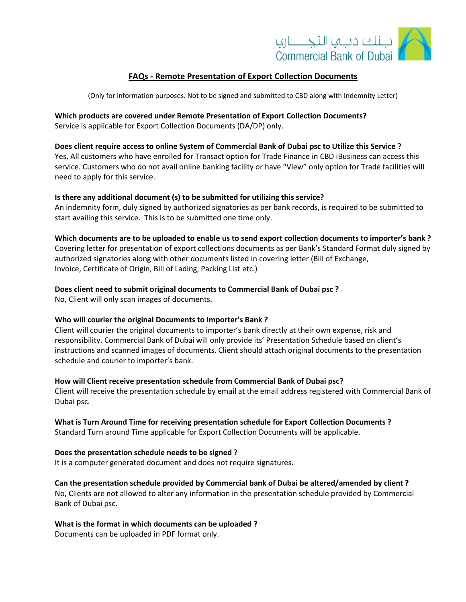

## **FAQs - Remote Presentation of Export Collection Documents**

(Only for information purposes. Not to be signed and submitted to CBD along with Indemnity Letter)

# **Which products are covered under Remote Presentation of Export Collection Documents?**

Service is applicable for Export Collection Documents (DA/DP) only.

### **Does client require access to online System of Commercial Bank of Dubai psc to Utilize this Service ?**

Yes, All customers who have enrolled for Transact option for Trade Finance in CBD iBusiness can access this service. Customers who do not avail online banking facility or have "View" only option for Trade facilities will need to apply for this service.

### **Is there any additional document (s) to be submitted for utilizing this service?**

An indemnity form, duly signed by authorized signatories as per bank records, is required to be submitted to start availing this service. This is to be submitted one time only.

**Which documents are to be uploaded to enable us to send export collection documents to importer's bank ?** Covering letter for presentation of export collections documents as per Bank's Standard Format duly signed by authorized signatories along with other documents listed in covering letter (Bill of Exchange, Invoice, Certificate of Origin, Bill of Lading, Packing List etc.)

## **Does client need to submit original documents to Commercial Bank of Dubai psc ?**

No, Client will only scan images of documents.

### **Who will courier the original Documents to Importer's Bank ?**

Client will courier the original documents to importer's bank directly at their own expense, risk and responsibility. Commercial Bank of Dubai will only provide its' Presentation Schedule based on client's instructions and scanned images of documents. Client should attach original documents to the presentation schedule and courier to importer's bank.

### **How will Client receive presentation schedule from Commercial Bank of Dubai psc?**

Client will receive the presentation schedule by email at the email address registered with Commercial Bank of Dubai psc.

### **What is Turn Around Time for receiving presentation schedule for Export Collection Documents ?**

Standard Turn around Time applicable for Export Collection Documents will be applicable.

### **Does the presentation schedule needs to be signed ?**

It is a computer generated document and does not require signatures.

## **Can the presentation schedule provided by Commercial bank of Dubai be altered/amended by client ?**

No, Clients are not allowed to alter any information in the presentation schedule provided by Commercial Bank of Dubai psc.

### **What is the format in which documents can be uploaded ?**

Documents can be uploaded in PDF format only.